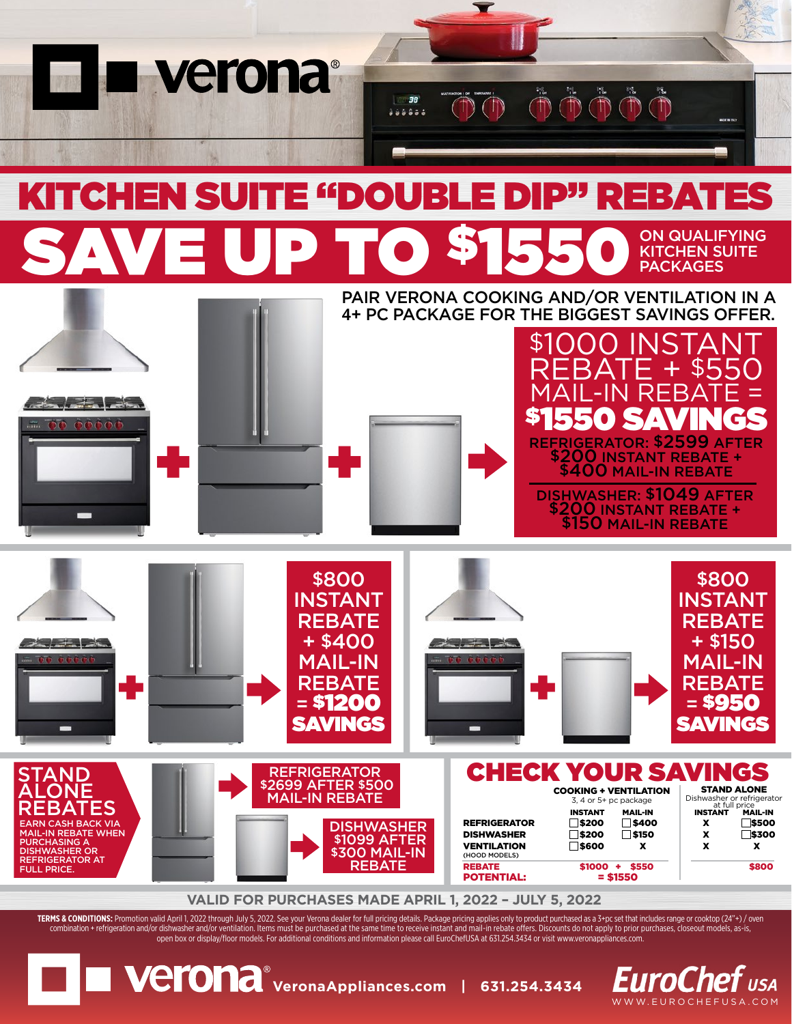

**EuroChef** usa WWW.EUROCHEFUSA.COM